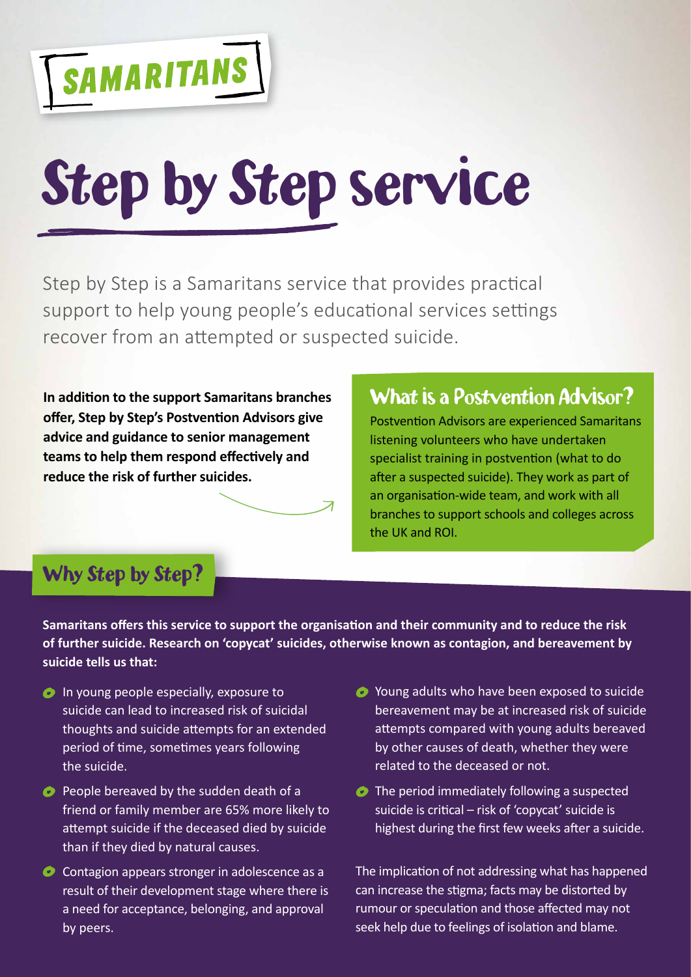

# Step by Step service

Step by Step is a Samaritans service that provides practical support to help young people's educational services settings recover from an attempted or suspected suicide.

**In addition to the support Samaritans branches offer, Step by Step's Postvention Advisors give advice and guidance to senior management teams to help them respond effectively and reduce the risk of further suicides.**

# What is a Postvention Advisor?

Postvention Advisors are experienced Samaritans listening volunteers who have undertaken specialist training in postvention (what to do after a suspected suicide). They work as part of an organisation-wide team, and work with all branches to support schools and colleges across the UK and ROI.

# Why Step by Step?

**Samaritans offers this service to support the organisation and their community and to reduce the risk of further suicide. Research on 'copycat' suicides, otherwise known as contagion, and bereavement by suicide tells us that:**

- **In young people especially, exposure to** suicide can lead to increased risk of suicidal thoughts and suicide attempts for an extended period of time, sometimes years following the suicide.
- **People bereaved by the sudden death of a** friend or family member are 65% more likely to attempt suicide if the deceased died by suicide than if they died by natural causes.
- Contagion appears stronger in adolescence as a result of their development stage where there is a need for acceptance, belonging, and approval by peers.
- Young adults who have been exposed to suicide bereavement may be at increased risk of suicide attempts compared with young adults bereaved by other causes of death, whether they were related to the deceased or not.
- **●** The period immediately following a suspected suicide is critical – risk of 'copycat' suicide is highest during the first few weeks after a suicide.

The implication of not addressing what has happened can increase the stigma; facts may be distorted by rumour or speculation and those affected may not seek help due to feelings of isolation and blame.